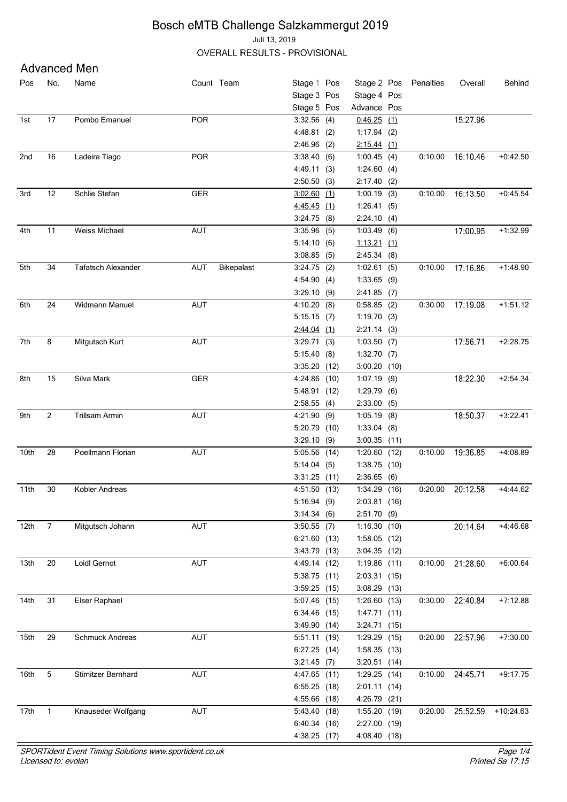#### **Advanced Men** No. Name Count Team Stage 1 Pos Stage 2 Pos Overall Behind Pos Penalties Stage 3 Pos Stage 4 Pos Stage 5 Pos Advance Pos 1st 17 Pombo Emanuel POR 3:32.56 (4) 0:46.25 (1) 15:27.96 4:48.81 (2) 1:17.94 (2) 2:46.96 (2) 2:15.44 (1) 2nd 16 Ladeira Tiago POR 3:38.40 (6) 1:00.45 (4) 0:10.00 +0:42.50 4:49.11 (3) 1:24.60 (4) 2:50.50 (3) 2:17.40 (2) 3rd 12 Schlie Stefan GER GER 3:02.60 (1) 1:00.19 (3) 0:10.00 16:13.50 +0:45.54 4:45.45 (1) 1:26.41 (5) 3:24.75 (8) 2:24.10 (4) 4th 11 Weiss Michael **AUT** AUT 3:35.96 (5) 1:03.49 (6) 17:00.95 +1:32.99 5:14.10 (6) 1:13.21 (1) 3:08.85 (5) 2:45.34 (8) 5th 34 Tafatsch Alexander AUT Bikepalast 3:24.75 (2) 1:02.61 (5) 0:10.00 +1:48.90 4:54.90 (4) 1:33.65 (9) 3:29.10 (9) 2:41.85 (7) 6th 24 Widmann Manuel AUT 4:10.20 (8) 0:58.85 (2) 0:30.00 +1:51.12 5:15.15 (7) 1:19.70 (3) 2:44.04 (1) 2:21.14 (3) 7th 8 Mitgutsch Kurt AUT AUT 3:29.71 (3) 1:03.50 (7) 17:56.71 +2:28.75 5:15.40 (8) 1:32.70 (7) 3:35.20 (12) 3:00.20 (10) 8th 15 Silva Mark GER GER 4:24.86 (10) 1:07.19 (9) 18:22.30 +2:54.34 5:48.91 (12) 1:29.79 (6) 2:58.55 (4) 2:33.00 (5) 9th 2 Trillsam Armin AUT 4:21.90 (9) 1:05.19 (8) +3:22.41 5:20.79 (10) 1:33.04 (8) 3:29.10 (9) 3:00.35 (11) 10th 28 Poellmann Florian AUT 5:05.56 (14) 1:20.60 (12) 0:10.00 +4:08.89 5:14.04 (5) 1:38.75 (10) 3:31.25 (11) 2:36.65 (6) 11th 30 Kobler Andreas 4:51.50 (13) 1:34.29 (16) 0:20.00 +4:44.62 5:16.94 (9) 2:03.81 (16) 3:14.34 (6) 2:51.70 (9) 12th 7 Mitgutsch Johann ... AUT 3:50.55 (7) 1:16.30 (10) 20:14.64 +4:46.68 6:21.60 (13) 1:58.05 (12) 3:43.79 (13) 3:04.35 (12) 13th 20 Loidl Gernot AUT AUT 4:49.14 (12) 1:19.86 (11) 0:10.00 21:28.60 +6:00.64 5:38.75 (11) 2:03.31 (15) 3:59.25 (15) 3:08.29 (13) 14th 31 Elser Raphael 5:07.46 (15) 1:26.60 (13) 0:30.00 +7:12.88 6:34.46 (15) 1:47.71 (11) 3:49.90 (14) 3:24.71 (15) 15th 29 Schmuck Andreas AUT 5:51.11 (19) 1:29.29 (15) 0:20.00 +7:30.00 6:27.25 (14) 1:58.35 (13) 3:21.45 (7) 3:20.51 (14) 16th 5 Stimitzer Bernhard AUT 4:47.65 (11) 1:29.25 (14) 0:10.00 24:45.71 +9:17.75 6:55.25 (18) 2:01.11 (14) 4:55.66 (18) 4:26.79 (21) 17th 1 Knauseder Wolfgang AUT 5:43.40 (18) 1:55.20 (19) 0:20.00 +10:24.63 6:40.34 (16) 2:27.00 (19) 4:38.25 (17) 4:08.40 (18)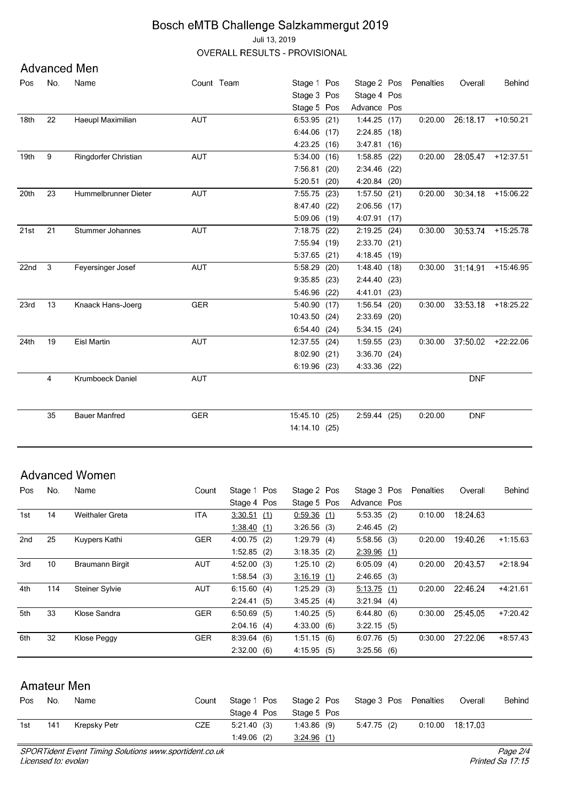|      |     | <b>Advanced Men</b>  |            |               |      |                |           |            |               |
|------|-----|----------------------|------------|---------------|------|----------------|-----------|------------|---------------|
| Pos  | No. | Name                 | Count Team | Stage 1 Pos   |      | Stage 2 Pos    | Penalties | Overall    | <b>Behind</b> |
|      |     |                      |            | Stage 3 Pos   |      | Stage 4 Pos    |           |            |               |
|      |     |                      |            | Stage 5 Pos   |      | Advance Pos    |           |            |               |
| 18th | 22  | Haeupl Maximilian    | <b>AUT</b> | 6:53.95(21)   |      | 1:44.25(17)    | 0:20.00   | 26:18.17   | $+10:50.21$   |
|      |     |                      |            | 6:44.06(17)   |      | 2:24.85(18)    |           |            |               |
|      |     |                      |            | 4:23.25(16)   |      | 3:47.81(16)    |           |            |               |
| 19th | 9   | Ringdorfer Christian | <b>AUT</b> | 5:34.00(16)   |      | $1:58.85$ (22) | 0:20.00   | 28:05.47   | $+12:37.51$   |
|      |     |                      |            | 7:56.81(20)   |      | $2:34.46$ (22) |           |            |               |
|      |     |                      |            | 5:20.51       | (20) | 4:20.84 (20)   |           |            |               |
| 20th | 23  | Hummelbrunner Dieter | <b>AUT</b> | 7:55.75       | (23) | 1:57.50(21)    | 0:20.00   | 30:34.18   | $+15:06.22$   |
|      |     |                      |            | 8:47.40 (22)  |      | $2:06.56$ (17) |           |            |               |
|      |     |                      |            | 5:09.06       | (19) | 4:07.91 (17)   |           |            |               |
| 21st | 21  | Stummer Johannes     | <b>AUT</b> | 7:18.75(22)   |      | 2:19.25(24)    | 0:30.00   | 30:53.74   | $+15:25.78$   |
|      |     |                      |            | 7:55.94 (19)  |      | 2:33.70 (21)   |           |            |               |
|      |     |                      |            | 5:37.65(21)   |      | 4:18.45 (19)   |           |            |               |
| 22nd | 3   | Feversinger Josef    | <b>AUT</b> | 5:58.29       | (20) | 1.48.40(18)    | 0:30.00   | 31:14.91   | $+15:46.95$   |
|      |     |                      |            | 9:35.85(23)   |      | 2:44.40 (23)   |           |            |               |
|      |     |                      |            | 5:46.96       | (22) | 4:41.01 (23)   |           |            |               |
| 23rd | 13  | Knaack Hans-Joerg    | <b>GER</b> | 5:40.90       | (17) | 1:56.54(20)    | 0:30.00   | 33.53.18   | $+18:25.22$   |
|      |     |                      |            | 10:43.50 (24) |      | $2:33.69$ (20) |           |            |               |
|      |     |                      |            | 6:54.40 (24)  |      | 5:34.15(24)    |           |            |               |
| 24th | 19  | <b>Eisl Martin</b>   | <b>AUT</b> | 12:37.55 (24) |      | 1:59.55(23)    | 0:30.00   | 37:50.02   | +22:22.06     |
|      |     |                      |            | 8:02.90 (21)  |      | 3:36.70(24)    |           |            |               |
|      |     |                      |            | 6:19.96 (23)  |      | 4:33.36 (22)   |           |            |               |
|      | 4   | Krumboeck Daniel     | <b>AUT</b> |               |      |                |           | <b>DNF</b> |               |
|      |     |                      |            |               |      |                |           |            |               |
|      | 35  | <b>Bauer Manfred</b> | <b>GER</b> | 15:45.10 (25) |      | 2:59.44(25)    | 0:20.00   | <b>DNF</b> |               |
|      |     |                      |            | 14:14.10 (25) |      |                |           |            |               |

# **Advanced Women**

| Pos | No. | Name                   | Count      | Stage 1 Pos   | Stage 2 Pos   |     | Stage 3 Pos | Penalties | Overall  | Behind     |
|-----|-----|------------------------|------------|---------------|---------------|-----|-------------|-----------|----------|------------|
|     |     |                        |            | Stage 4 Pos   | Stage 5 Pos   |     | Advance Pos |           |          |            |
| 1st | 14  | <b>Weithaler Greta</b> | <b>ITA</b> | 3:30.51(1)    | 0:59.36(1)    |     | 5:53.35(2)  | 0:10.00   | 18:24.63 |            |
|     |     |                        |            | 1:38.40(1)    | $3:26.56$ (3) |     | 2:46.45(2)  |           |          |            |
| 2nd | 25  | Kuypers Kathi          | <b>GER</b> | $4:00.75$ (2) | 1:29.79(4)    |     | 5:58.56(3)  | 0:20.00   | 19:40.26 | $+1:15.63$ |
|     |     |                        |            | $1:52.85$ (2) | 3:18.35(2)    |     | 2:39.96(1)  |           |          |            |
| 3rd | 10  | <b>Braumann Birgit</b> | <b>AUT</b> | 4:52.00(3)    | $1:25.10$ (2) |     | 6:05.09(4)  | 0:20.00   | 20:43.57 | $+2:18.94$ |
|     |     |                        |            | 1:58.54(3)    | 3:16.19(1)    |     | 2:46.65(3)  |           |          |            |
| 4th | 114 | <b>Steiner Sylvie</b>  | <b>AUT</b> | 6:15.60(4)    | $1:25.29$ (3) |     | 5:13.75(1)  | 0:20.00   | 22:46.24 | $+4:21.61$ |
|     |     |                        |            | 2:24.41(5)    | 3:45.25(4)    |     | 3:21.94(4)  |           |          |            |
| 5th | 33  | Klose Sandra           | <b>GER</b> | 6:50.69(5)    | 1:40.25(5)    |     | 6:44.80(6)  | 0:30.00   | 25:45.05 | $+7:20.42$ |
|     |     |                        |            | 2:04.16(4)    | 4:33.00(6)    |     | 3:22.15(5)  |           |          |            |
| 6th | 32  | Klose Peggy            | <b>GER</b> | 8:39.64(6)    | 1:51.15(6)    |     | 6:07.76(5)  | 0:30.00   | 27:22.06 | $+8.57.43$ |
|     |     |                        |            | $2:32.00$ (6) | 4:15.95       | (5) | 3:25.56(6)  |           |          |            |

# **Amateur Men**

| Pos | No. | Name         | Count | Stage 1 Pos | Stage 2 Pos   | Stage 3 Pos Penalties |         | Overall  | Behind |
|-----|-----|--------------|-------|-------------|---------------|-----------------------|---------|----------|--------|
|     |     |              |       | Stage 4 Pos | Stage 5 Pos   |                       |         |          |        |
| 1st | 141 | Krepsky Petr | CZE   | 5:21.40(3)  | $1.43.86$ (9) | 5:47.75 (2)           | 0:10.00 | 18:17.03 |        |
|     |     |              |       | 1:49.06(2)  | $3.24.96$ (1) |                       |         |          |        |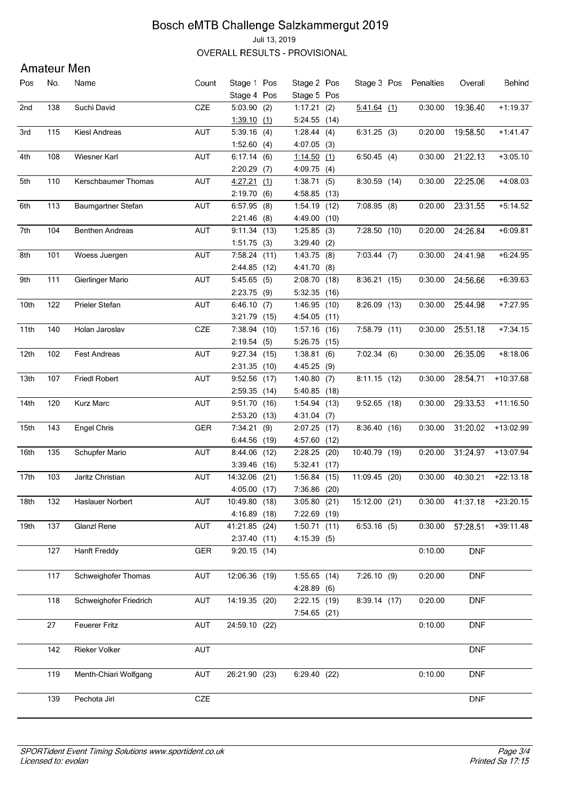### **Amateur Men**

| Pos  | No. | Name                   | Count      | Stage 1 Pos<br>Stage 4 Pos       | Stage 2 Pos<br>Stage 5 Pos         | Stage 3 Pos    | Penalties | Overall    | Behind      |
|------|-----|------------------------|------------|----------------------------------|------------------------------------|----------------|-----------|------------|-------------|
| 2nd  | 138 | Suchì David            | CZE        | 5:03.90(2)<br>1:39.10(1)         | 1:17.21<br>(2)<br>5:24.55(14)      | $5:41.64$ (1)  | 0:30.00   | 19:36.40   | $+1:19.37$  |
| 3rd  | 115 | <b>Kiesl Andreas</b>   | <b>AUT</b> | 5:39.16(4)<br>1:52.60(4)         | 1:28.44(4)<br>4:07.05(3)           | 6:31.25(3)     | 0:20.00   | 19:58.50   | $+1.41.47$  |
| 4th  | 108 | Wiesner Karl           | AUT        | 6:17.14(6)<br>$2:20.29$ (7)      | 1:14.50<br>(1)<br>4:09.75<br>(4)   | 6:50.45(4)     | 0:30.00   | 21:22.13   | $+3:05.10$  |
| 5th  | 110 | Kerschbaumer Thomas    | <b>AUT</b> | 4:27.21(1)<br>2:19.70(6)         | 1:38.71<br>(5)<br>4:58.85<br>(13)  | 8:30.59 (14)   | 0:30.00   | 22:25.06   | $+4:08.03$  |
| 6th  | 113 | Baumgartner Stefan     | <b>AUT</b> | 6:57.95(8)<br>$2:21.46$ (8)      | 1.54.19<br>(12)<br>4:49.00 (10)    | 7:08.95(8)     | 0:20.00   | 23:31.55   | $+5:14.52$  |
| 7th  | 104 | Benthen Andreas        | <b>AUT</b> | 9:11.34 (13)<br>1:51.75(3)       | 1:25.85(3)<br>3:29.40<br>(2)       | 7:28.50(10)    | 0:20.00   | 24:26.84   | $+6:09.81$  |
| 8th  | 101 | Woess Juergen          | AUT        | 7:58.24(11)<br>2:44.85 (12)      | 1:43.75<br>(8)<br>4:41.70<br>(8)   | 7:03.44(7)     | 0:30.00   | 24:41.98   | $+6:24.95$  |
| 9th  | 111 | Gierlinger Mario       | <b>AUT</b> | 5:45.65(5)<br>2:23.75(9)         | 2:08.70<br>(18)<br>5:32.35<br>(16) | 8:36.21(15)    | 0:30.00   | 24:56.66   | $+6:39.63$  |
| 10th | 122 | Prieler Stefan         | <b>AUT</b> | 6:46.10(7)<br>3:21.79 (15)       | 1:46.95<br>(10)<br>4:54.05(11)     | 8:26.09 (13)   | 0:30.00   | 25:44.98   | $+7:27.95$  |
| 11th | 140 | Holan Jaroslav         | CZE        | 7:38.94(10)<br>2:19.54(5)        | $1:57.16$ (16)<br>5:26.75<br>(15)  | 7:58.79 (11)   | 0:30.00   | 25:51.18   | $+7:34.15$  |
| 12th | 102 | Fest Andreas           | <b>AUT</b> | 9:27.34(15)<br>2:31.35(10)       | 1:38.81<br>(6)<br>4:45.25(9)       | 7:02.34(6)     | 0:30.00   | 26:35.09   | $+8:18.06$  |
| 13th | 107 | <b>Friedl Robert</b>   | <b>AUT</b> | $9:52.56$ (17)<br>2:59.35(14)    | 1:40.80<br>(7)<br>5:40.85<br>(18)  | 8:11.15(12)    | 0:30.00   | 28:54.71   | +10:37.68   |
| 14th | 120 | Kurz Marc              | <b>AUT</b> | 9:51.70(16)<br>2:53.20(13)       | 1:54.94<br>(13)<br>4:31.04(7)      | $9:52.65$ (18) | 0:30.00   | 29:33.53   | $+11:16.50$ |
| 15th | 143 | Engel Chris            | GER        | 7:34.21<br>(9)<br>6:44.56 (19)   | 2:07.25<br>(17)<br>4:57.60<br>(12) | 8:36.40 (16)   | 0:30.00   | 31:20.02   | +13:02.99   |
| 16th | 135 | Schupfer Mario         | <b>AUT</b> | 8:44.06 (12)<br>3:39.46(16)      | 2:28.25<br>(20)<br>5:32.41(17)     | 10:40.79 (19)  | 0:20.00   | 31:24.97   | +13:07.94   |
| 17th | 103 | Jaritz Christian       | <b>AUT</b> | 14:32.06<br>(21)<br>4:05.00 (17) | 1:56.84<br>(15)<br>7:36.86 (20)    | 11:09.45 (20)  | 0:30.00   | 40:30.21   | $+22:13.18$ |
| 18th | 132 | Haslauer Norbert       | <b>AUT</b> | 10:49.80 (18)<br>4:16.89(18)     | $3:05.80$ (21)<br>7:22.69 (19)     | 15:12.00 (21)  | 0.30.00   | 41:37.18   | $+23:20.15$ |
| 19th | 137 | <b>Glanzl Rene</b>     | <b>AUT</b> | 41:21.85 (24)<br>2:37.40 (11)    | 1:50.71(11)<br>4:15.39(5)          | 6:53.16(5)     | 0:30.00   | 57:28.51   | +39:11.48   |
|      | 127 | Hanft Freddy           | <b>GER</b> | 9:20.15(14)                      |                                    |                | 0:10.00   | <b>DNF</b> |             |
|      | 117 | Schweighofer Thomas    | AUT        | 12:06.36 (19)                    | 1:55.65(14)<br>4:28.89(6)          | 7:26.10(9)     | 0:20.00   | <b>DNF</b> |             |
|      | 118 | Schweighofer Friedrich | <b>AUT</b> | 14:19.35 (20)                    | $2:22.15$ (19)<br>7:54.65 (21)     | 8:39.14(17)    | 0:20.00   | <b>DNF</b> |             |
|      | 27  | Feuerer Fritz          | AUT        | 24:59.10 (22)                    |                                    |                | 0:10.00   | <b>DNF</b> |             |
|      | 142 | <b>Rieker Volker</b>   | <b>AUT</b> |                                  |                                    |                |           | <b>DNF</b> |             |
|      | 119 | Menth-Chiari Wolfgang  | <b>AUT</b> | 26:21.90 (23)                    | 6:29.40(22)                        |                | 0:10.00   | <b>DNF</b> |             |
|      | 139 | Pechota Jiri           | CZE        |                                  |                                    |                |           | <b>DNF</b> |             |